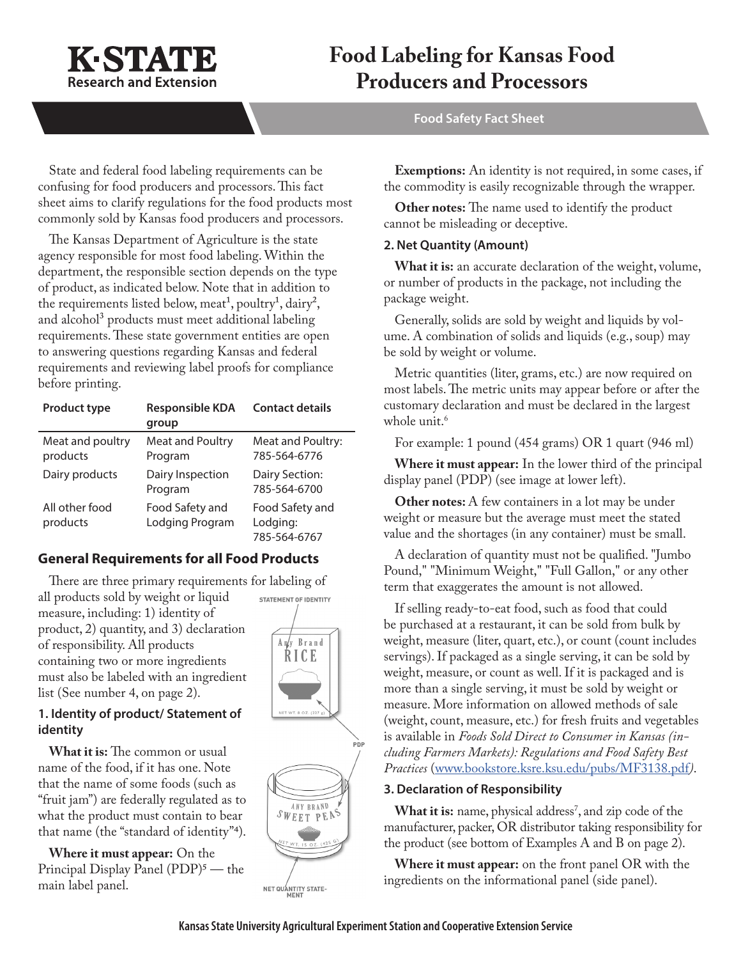

# **Food Labeling for Kansas Food Producers and Processors**

**Food Safety Fact Sheet**

State and federal food labeling requirements can be confusing for food producers and processors. This fact sheet aims to clarify regulations for the food products most commonly sold by Kansas food producers and processors.

The Kansas Department of Agriculture is the state agency responsible for most food labeling. Within the department, the responsible section depends on the type of product, as indicated below. Note that in addition to the requirements listed below, meat<sup>1</sup>, poultry<sup>1</sup>, dairy<sup>2</sup>, and alcohol<sup>3</sup> products must meet additional labeling requirements. These state government entities are open to answering questions regarding Kansas and federal requirements and reviewing label proofs for compliance before printing.

| Product type                 | <b>Responsible KDA</b><br>group    | <b>Contact details</b>                      |
|------------------------------|------------------------------------|---------------------------------------------|
| Meat and poultry<br>products | Meat and Poultry<br>Program        | Meat and Poultry:<br>785-564-6776           |
| Dairy products               | Dairy Inspection<br>Program        | Dairy Section:<br>785-564-6700              |
| All other food<br>products   | Food Safety and<br>Lodging Program | Food Safety and<br>Lodging:<br>785-564-6767 |

# **General Requirements for all Food Products**

There are three primary requirements for labeling of all products sold by weight or liquid measure, including: 1) identity of product, 2) quantity, and 3) declaration of responsibility. All products containing two or more ingredients must also be labeled with an ingredient list (See number 4, on page 2).

# **1. Identity of product/ Statement of identity**

**What it is:** The common or usual name of the food, if it has one. Note that the name of some foods (such as "fruit jam") are federally regulated as to what the product must contain to bear that name (the "standard of identity"4).

**Where it must appear:** On the Principal Display Panel (PDP)<sup>5</sup> — the main label panel.





NET QUANTITY STATE-

**Exemptions:** An identity is not required, in some cases, if the commodity is easily recognizable through the wrapper.

**Other notes:** The name used to identify the product cannot be misleading or deceptive.

## **2. Net Quantity (Amount)**

**What it is:** an accurate declaration of the weight, volume, or number of products in the package, not including the package weight.

Generally, solids are sold by weight and liquids by volume. A combination of solids and liquids (e.g., soup) may be sold by weight or volume.

Metric quantities (liter, grams, etc.) are now required on most labels. The metric units may appear before or after the customary declaration and must be declared in the largest whole unit.<sup>6</sup>

For example: 1 pound (454 grams) OR 1 quart (946 ml)

**Where it must appear:** In the lower third of the principal display panel (PDP) (see image at lower left).

**Other notes:** A few containers in a lot may be under weight or measure but the average must meet the stated value and the shortages (in any container) must be small.

A declaration of quantity must not be qualified. "Jumbo Pound," "Minimum Weight," "Full Gallon," or any other term that exaggerates the amount is not allowed.

If selling ready-to-eat food, such as food that could be purchased at a restaurant, it can be sold from bulk by weight, measure (liter, quart, etc.), or count (count includes servings). If packaged as a single serving, it can be sold by weight, measure, or count as well. If it is packaged and is more than a single serving, it must be sold by weight or measure. More information on allowed methods of sale (weight, count, measure, etc.) for fresh fruits and vegetables is available in *Foods Sold Direct to Consumer in Kansas (including Farmers Markets): Regulations and Food Safety Best Practices* ([www.bookstore.ksre.ksu.edu/pubs/MF3138.pdf](http://www.bookstore.ksre.ksu.edu/pubs/MF3138.pdf)*)*.

## **3. Declaration of Responsibility**

**What it is:** name, physical address<sup>7</sup>, and zip code of the manufacturer, packer, OR distributor taking responsibility for the product (see bottom of Examples A and B on page 2).

**Where it must appear:** on the front panel OR with the ingredients on the informational panel (side panel).

PDP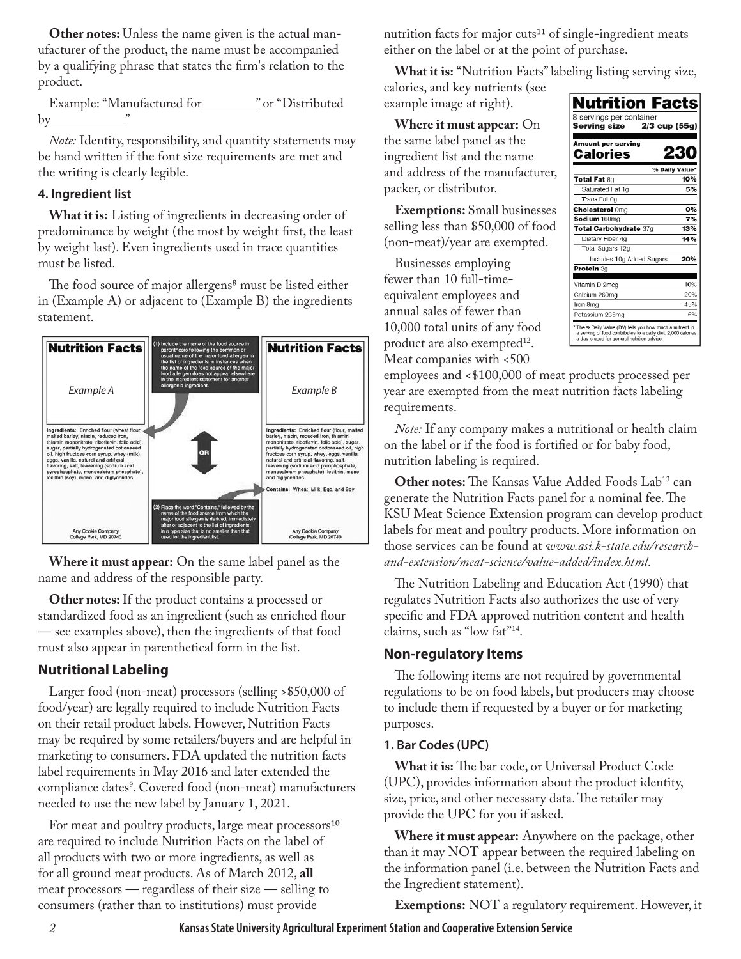**Other notes:** Unless the name given is the actual manufacturer of the product, the name must be accompanied by a qualifying phrase that states the firm's relation to the product.

Example: "Manufactured for \_\_\_\_\_\_\_\_ " or "Distributed  $by$ 

*Note:* Identity, responsibility, and quantity statements may be hand written if the font size requirements are met and the writing is clearly legible.

## **4. Ingredient list**

**What it is:** Listing of ingredients in decreasing order of predominance by weight (the most by weight first, the least by weight last). Even ingredients used in trace quantities must be listed.

The food source of major allergens<sup>8</sup> must be listed either in (Example A) or adjacent to (Example B) the ingredients statement.



**Where it must appear:** On the same label panel as the name and address of the responsible party.

**Other notes:** If the product contains a processed or standardized food as an ingredient (such as enriched flour — see examples above), then the ingredients of that food must also appear in parenthetical form in the list.

# **Nutritional Labeling**

Larger food (non-meat) processors (selling >\$50,000 of food/year) are legally required to include Nutrition Facts on their retail product labels. However, Nutrition Facts may be required by some retailers/buyers and are helpful in marketing to consumers. FDA updated the nutrition facts label requirements in May 2016 and later extended the compliance dates<sup>9</sup>. Covered food (non-meat) manufacturers needed to use the new label by January 1, 2021.

For meat and poultry products, large meat processors<sup>10</sup> are required to include Nutrition Facts on the label of all products with two or more ingredients, as well as for all ground meat products. As of March 2012, **all** meat processors — regardless of their size — selling to consumers (rather than to institutions) must provide

nutrition facts for major cuts<sup>11</sup> of single-ingredient meats either on the label or at the point of purchase.

**What it is:** "Nutrition Facts" labeling listing serving size,

calories, and key nutrients (see example image at right).

**Where it must appear:** On the same label panel as the ingredient list and the name and address of the manufacturer, packer, or distributor.

**Exemptions:** Small businesses selling less than \$50,000 of food (non-meat)/year are exempted.

Businesses employing fewer than 10 full-timeequivalent employees and annual sales of fewer than 10,000 total units of any food product are also exempted $12$ . Meat companies with <500



employees and <\$100,000 of meat products processed per year are exempted from the meat nutrition facts labeling requirements.

*Note:* If any company makes a nutritional or health claim on the label or if the food is fortified or for baby food, nutrition labeling is required.

**Other notes:** The Kansas Value Added Foods Lab<sup>13</sup> can generate the Nutrition Facts panel for a nominal fee. The KSU Meat Science Extension program can develop product labels for meat and poultry products. More information on those services can be found at *[www.asi.k-state.edu/research](http://www.asi.k-state.edu/research-and-extension/meat-science/value-added/index.html)[and-extension/meat-science/value-added/index.html](http://www.asi.k-state.edu/research-and-extension/meat-science/value-added/index.html)*.

The Nutrition Labeling and Education Act (1990) that regulates Nutrition Facts also authorizes the use of very specific and FDA approved nutrition content and health claims, such as "low fat"14.

# **Non-regulatory Items**

The following items are not required by governmental regulations to be on food labels, but producers may choose to include them if requested by a buyer or for marketing purposes.

## **1. Bar Codes (UPC)**

**What it is:** The bar code, or Universal Product Code (UPC), provides information about the product identity, size, price, and other necessary data. The retailer may provide the UPC for you if asked.

**Where it must appear:** Anywhere on the package, other than it may NOT appear between the required labeling on the information panel (i.e. between the Nutrition Facts and the Ingredient statement).

**Exemptions:** NOT a regulatory requirement. However, it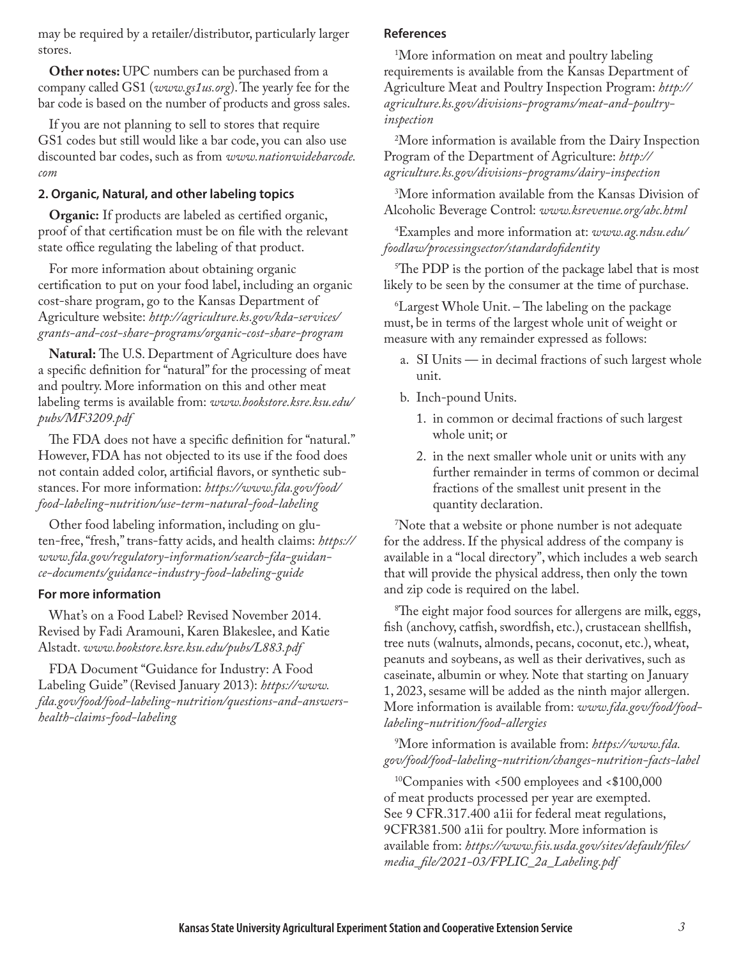may be required by a retailer/distributor, particularly larger stores.

**Other notes:** UPC numbers can be purchased from a company called GS1 (*[www.gs1us.org](http://www.gs1us.org)*). The yearly fee for the bar code is based on the number of products and gross sales.

If you are not planning to sell to stores that require GS1 codes but still would like a bar code, you can also use discounted bar codes, such as from *[www.nationwidebarcode.](http://www.nationwidebarcode.com) [com](http://www.nationwidebarcode.com)*

# **2. Organic, Natural, and other labeling topics**

**Organic:** If products are labeled as certified organic, proof of that certification must be on file with the relevant state office regulating the labeling of that product.

For more information about obtaining organic certification to put on your food label, including an organic cost-share program, go to the Kansas Department of Agriculture website: *[http://agriculture.ks.gov/kda-services/](http://agriculture.ks.gov/kda-services/grants-and-cost-share-programs/organic-cost-share-program) [grants-and-cost-share-programs/organic-cost-share-program](http://agriculture.ks.gov/kda-services/grants-and-cost-share-programs/organic-cost-share-program)*

**Natural:** The U.S. Department of Agriculture does have a specific definition for "natural" for the processing of meat and poultry. More information on this and other meat labeling terms is available from: *[www.bookstore.ksre.ksu.edu/](http://www.bookstore.ksre.ksu.edu/pubs/MF3209.pdf ) [pubs/MF3209.pdf](http://www.bookstore.ksre.ksu.edu/pubs/MF3209.pdf )* 

The FDA does not have a specific definition for "natural." However, FDA has not objected to its use if the food does not contain added color, artificial flavors, or synthetic substances. For more information: *[https://www.fda.gov/food/](https://www.fda.gov/food/food-labeling-nutrition/use-term-natural-food-labeling) [food-labeling-nutrition/use-term-natural-food-labeling](https://www.fda.gov/food/food-labeling-nutrition/use-term-natural-food-labeling)*

Other food labeling information, including on gluten-free, "fresh," trans-fatty acids, and health claims: *[https://](https://www.fda.gov/regulatory-information/search-fda-guidance-documents/guidance-industry-food-labeling-guide) [www.fda.gov/regulatory-information/search-fda-guidan](https://www.fda.gov/regulatory-information/search-fda-guidance-documents/guidance-industry-food-labeling-guide)[ce-documents/guidance-industry-food-labeling-guide](https://www.fda.gov/regulatory-information/search-fda-guidance-documents/guidance-industry-food-labeling-guide)*

#### **For more information**

What's on a Food Label? Revised November 2014. Revised by Fadi Aramouni, Karen Blakeslee, and Katie Alstadt. *www.bookstore.ksre.ksu.edu/pubs/L883.pdf*

FDA Document "Guidance for Industry: A Food Labeling Guide" (Revised January 2013): *[https://www.](https://www.fda.gov/food/food-labeling-nutrition/questions-and-answers-health-claims-food-labeling) [fda.gov/food/food-labeling-nutrition/questions-and-answers](https://www.fda.gov/food/food-labeling-nutrition/questions-and-answers-health-claims-food-labeling)[health-claims-food-labeling](https://www.fda.gov/food/food-labeling-nutrition/questions-and-answers-health-claims-food-labeling)*

### **References**

1 More information on meat and poultry labeling requirements is available from the Kansas Department of Agriculture Meat and Poultry Inspection Program: *[http://](http://agriculture.ks.gov/divisions-programs/meat-and-poultry-inspection) [agriculture.ks.gov/divisions-programs/meat-and-poultry](http://agriculture.ks.gov/divisions-programs/meat-and-poultry-inspection)[inspection](http://agriculture.ks.gov/divisions-programs/meat-and-poultry-inspection)*

2 More information is available from the Dairy Inspection Program of the Department of Agriculture: *[http://](http://agriculture.ks.gov/divisions-programs/dairy-inspection) [agriculture.ks.gov/divisions-programs/dairy-inspection](http://agriculture.ks.gov/divisions-programs/dairy-inspection)*

3 More information available from the Kansas Division of Alcoholic Beverage Control: *[www.ksrevenue.org/abc.html](http://www.ksrevenue.org/abc.html)*

4 Examples and more information at: *[www.ag.ndsu.edu/](http://www.ag.ndsu.edu/foodlaw/processingsector/standardofidentity) [foodlaw/processingsector/standardofidentity](http://www.ag.ndsu.edu/foodlaw/processingsector/standardofidentity)*

5 The PDP is the portion of the package label that is most likely to be seen by the consumer at the time of purchase.

6 Largest Whole Unit. – The labeling on the package must, be in terms of the largest whole unit of weight or measure with any remainder expressed as follows:

- a. SI Units in decimal fractions of such largest whole unit.
- b. Inch-pound Units.
	- 1. in common or decimal fractions of such largest whole unit; or
	- 2. in the next smaller whole unit or units with any further remainder in terms of common or decimal fractions of the smallest unit present in the quantity declaration.

7 Note that a website or phone number is not adequate for the address. If the physical address of the company is available in a "local directory", which includes a web search that will provide the physical address, then only the town and zip code is required on the label.

8 The eight major food sources for allergens are milk, eggs, fish (anchovy, catfish, swordfish, etc.), crustacean shellfish, tree nuts (walnuts, almonds, pecans, coconut, etc.), wheat, peanuts and soybeans, as well as their derivatives, such as caseinate, albumin or whey. Note that starting on January 1, 2023, sesame will be added as the ninth major allergen. More information is available from: *[www.fda.gov/food/food](http://www.fda.gov/food/food-labeling-nutrition/food-allergies)[labeling-nutrition/food-allergies](http://www.fda.gov/food/food-labeling-nutrition/food-allergies)*

9 More information is available from: *[https://www.fda.](https://www.fda.gov/food/food-labeling-nutrition/changes-nutrition-facts-label) [gov/food/food-labeling-nutrition/changes-nutrition-facts-label](https://www.fda.gov/food/food-labeling-nutrition/changes-nutrition-facts-label)*

10Companies with <500 employees and <\$100,000 of meat products processed per year are exempted. See 9 CFR.317.400 a1ii for federal meat regulations, 9CFR381.500 a1ii for poultry. More information is available from: *[https://www.fsis.usda.gov/sites/default/files/](https://www.fsis.usda.gov/sites/default/files/media_file/2021-03/FPLIC_2a_Labeling.pdf) [media\\_file/2021-03/FPLIC\\_2a\\_Labeling.pdf](https://www.fsis.usda.gov/sites/default/files/media_file/2021-03/FPLIC_2a_Labeling.pdf)*